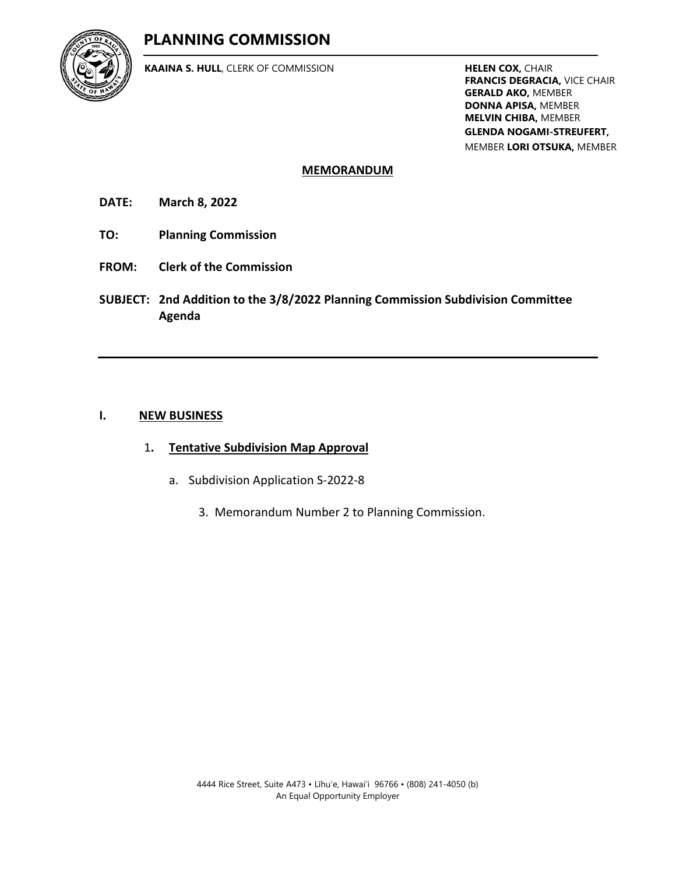# **PLANNING COMMISSION**



**KAAINA S. HULL**, CLERK OF COMMISSION **HELEN COX, CHAIR** 

**FRANCIS DEGRACIA,** VICE CHAIR **GERALD AKO,** MEMBER **DONNA APISA,** MEMBER **MELVIN CHIBA,** MEMBER **GLENDA NOGAMI-STREUFERT,** MEMBER **LORI OTSUKA,** MEMBER

### **MEMORANDUM**

**DATE: March 8, 2022**

- **TO: Planning Commission**
- **FROM: Clerk of the Commission**
- **SUBJECT: 2nd Addition to the 3/8/2022 Planning Commission Subdivision Committee Agenda**

### **I. NEW BUSINESS**

- 1**. Tentative Subdivision Map Approval**
	- a. Subdivision Application S-2022-8
		- 3. Memorandum Number 2 to Planning Commission.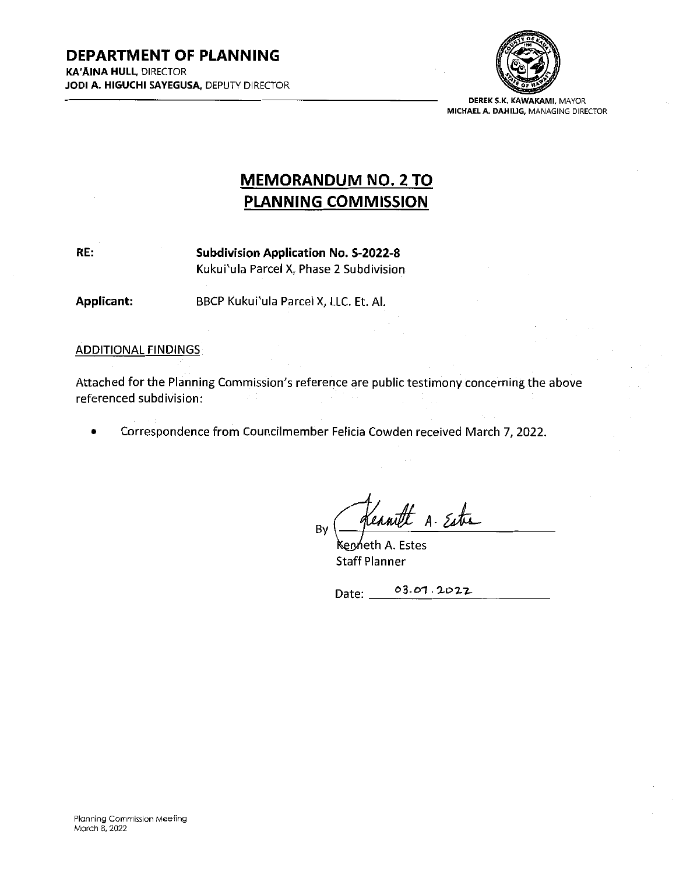

DEREK S.K. KAWAKAMf, MAYOR MICHAELA. DAHIL1G, MANAGING DIRECTOR

# MEMORANDUM N0. 2 TO PLANNING COMMISSION

RE: Subdivision Application No. S-2022-8 Kukui'ula Parcel X, Phase 2 Subdivision

Applicant: BBCP Kukui'ula Parcel X, LLC. Et. Al.

**ADDITIONAL FINDINGS** 

Attached for the Planning Commission's reference are public testimony concerning the above referenced subdivision:

• Correspondence from Councilmember Felicia Cowden received March 7, 2022.

A. Este By

enńeth A. Estes Staff Planner

Date: 03.01.2022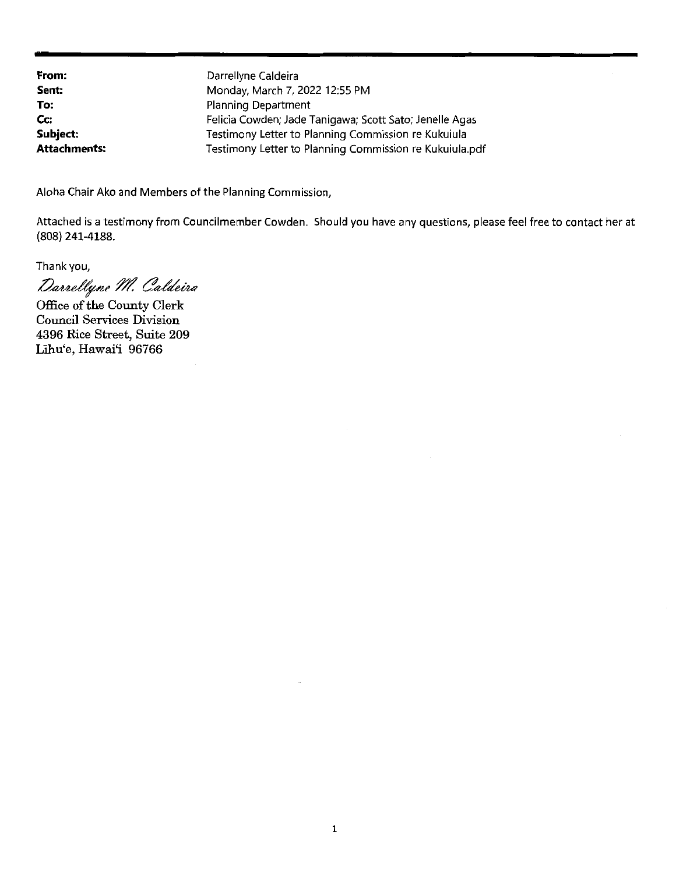From: Sent: To: Cc: Subject: Attachments: Darrellyne Caldeira Monday, March 7, 2022 12:55 PM Planning Department Felicia Cowden; Jade Tanigawa; Scott Sato; Jenelle Agas Testimony Letter to Planning Commission re Kukuiula Testimony Letter to Planning Commission re Kukuiula.pdf

Aloha Chair Ako and Members of the Planning Commission,

Attached is <sup>a</sup> testimony from Councilmember Cowden. Should you have any questions, please feel free to contact her at (808) 241-4188.

Thankyou,

Darrellyne M. Caldeira

Office of the County Clerk Council Services Division 4396 Rice Street, Suite 209 Lihu'e, Hawai'i 96766